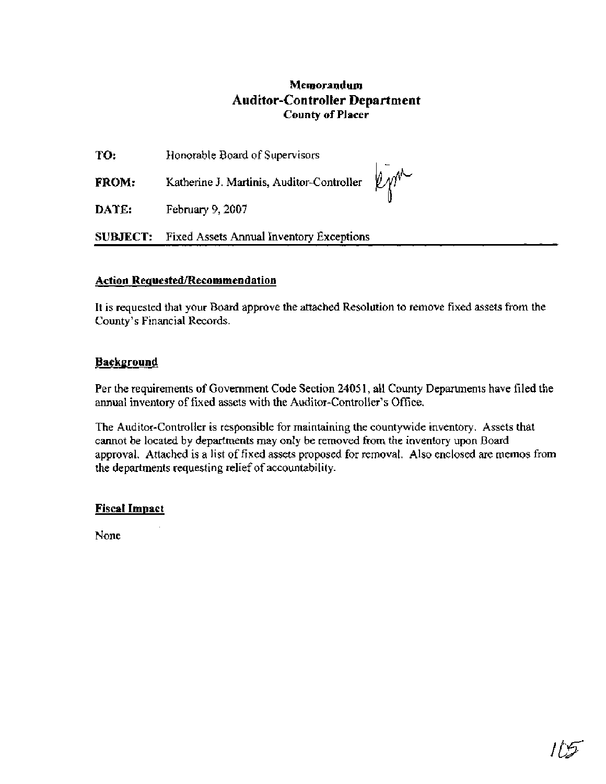## **Memorandum Auditor-Controller Department County of Placer**

**<sup>I</sup>**-

| TO:          | Honorable Board of Supervisors            |
|--------------|-------------------------------------------|
| <b>FROM:</b> | Katherine J. Martinis, Auditor-Controller |
| DATE:        | February 9, $2007$                        |

**SUBJECT:** Fixed Assets Annual Inventory Exceptions

### **Action Requested/Recommendation**

It is requested that your Board approve the attached Resolution to remove fixed assets fiom the County's Financial Records.

### **Background**

Per the requirements of Government Code Section 2405 1, all County Departments have filed the annual inventory of fixed assets with the Auditor-Controller's Office.

The Auditor-Controller is responsible for maintaining the countywide inventory. Assets that cannot be located by departments may only be removed from the inventory upon Board approval. Attached is a list of fixed assets proposed for removal. Also enclosed are memos from the departments requesting relief of accountability.

## **Fiscal Impact**

None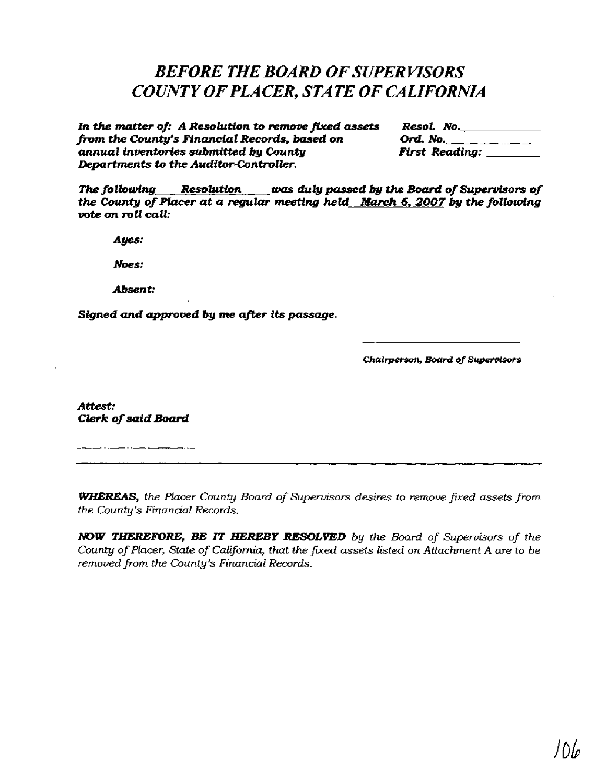# *BEFORE THE BOARD OF SUPER WSORS COUNTY OF PLACER, STATE OF CALIFORNIA*

*In the matter of: A Resolution to removemd* **assets** *Resol. No. from the County's Financial Records, bused on* **Ord,** *No. annual inventories submitted by County First Reading: Departments to the Auditor-Controller.* 

*The following Resolution was du 19 passed by the Boatd of* **Supervisors** *of the* **County** *of Placer at a regular meeting held* **March** *6,2007 by the following*  **vote** *on roll call:* 

*Ayes:* 

*Noes:* 

*Absent:* 

*Signed and approved by me after its passage.* 

*Chairperson, Board* **of SuperYisors** 

**Attest:**  *Clerk of said Board* 

<u> 1986 - Alemania de Carriera de Carriera de Carriera de Carriera de Carriera de Carriera de Carriera de Carrier</u>

*WHERE4S, the Placer County Board of Supervisors desires to remove fied assets from the County's Financial Records.* 

*NOW TWEREM)RE, BE* **IT** *HEREBY RESOLVED by the Board of Supervisors of the County of Placer, State of California, that the fixed assets listed on Attachment A are to be removed from the County's Financial Records.*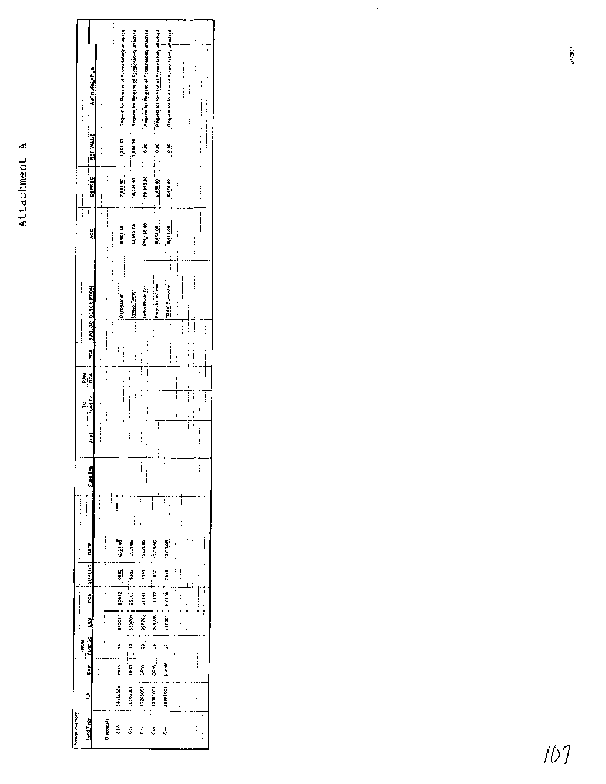|                           | <b>AUTHORIZATION</b>         |          | i             | <b>Electric Construction in survey in Account</b> | person in the property of a set with so in modes as the state is | highting functionally is an high is probably | <b>Ringweit for Reverse of Accountants</b> what the | Request to Referred Accountability attached |                |          | $\vdots$                  | ļ                  |
|---------------------------|------------------------------|----------|---------------|---------------------------------------------------|------------------------------------------------------------------|----------------------------------------------|-----------------------------------------------------|---------------------------------------------|----------------|----------|---------------------------|--------------------|
| i                         |                              |          |               | $\frac{1}{2}$                                     |                                                                  |                                              |                                                     |                                             |                |          | ï                         |                    |
|                           | <b>THET VALUE</b>            |          |               | 1,741.61<br>$\vdots$                              |                                                                  | io<br>O                                      | ŝ,                                                  | s.                                          |                |          |                           | $\frac{1}{1}$      |
|                           | DEPREC <sup>. --</sup>       |          | $\vdots$      | ia da                                             | 19,534.1                                                         | 171,110.00                                   | es es                                               | 0015715                                     | $\ddot{\cdot}$ |          | $\vdots$<br>$\frac{1}{1}$ | $\vdots$           |
| ļ                         | ī<br>g                       |          | $\vdots$      | <b>CALLA</b>                                      | 12,645.15                                                        | 129,110.00                                   | $\frac{1}{2}$                                       | 5,475.00                                    |                | $\vdots$ | ļ<br>$\vdots$             | i                  |
|                           |                              |          |               | Octorunion                                        | أباتهم ويعتابا                                                   | $\ddot{\phantom{0}}$<br>Critical Photo From  | Protessor where -                                   | i<br>TRAK Computer                          |                |          | :<br>:<br>:               | I                  |
|                           | <b>PCA DELOC DESCRIPTION</b> |          |               |                                                   | j<br>$\vdots$                                                    | $\overline{\phantom{a}}$                     |                                                     |                                             | $\vdots$       |          |                           |                    |
|                           |                              |          | ļ             |                                                   |                                                                  | $\vdots$                                     |                                                     |                                             |                |          |                           |                    |
|                           | i.                           |          |               |                                                   | $\vdots$                                                         | İ<br> <br>:                                  |                                                     | $\vdots$                                    |                |          | $\vdots$                  | i                  |
|                           | Fund Sc<br>₿                 |          |               | <br>                                              | ţ<br>i<br>i                                                      | $\frac{1}{1}$                                |                                                     |                                             | i<br>İ         | !<br>:   | $\vdots$<br>i<br>i        | ļ                  |
|                           | š                            | $\vdots$ | ί             |                                                   | $\vdots$<br>$\vdots$                                             | $\frac{1}{2}$                                |                                                     |                                             |                | Ī        | $\vdots$                  |                    |
|                           | land Typ                     |          | İ             | $\vdots$                                          |                                                                  |                                              |                                                     |                                             |                |          | $\vdots$                  | $\frac{1}{1}$<br>Ï |
|                           |                              |          |               |                                                   |                                                                  |                                              |                                                     |                                             |                |          |                           |                    |
|                           | DATE                         |          | $\frac{1}{1}$ | 12.1106                                           | 12/1/06                                                          | 1,12-31.06                                   | BGNDGE                                              | 12/11/06                                    |                |          |                           |                    |
|                           | SUBLOC                       |          |               | $\frac{1}{2}$                                     | 5307                                                             | š                                            | È.                                                  |                                             |                |          |                           |                    |
|                           | ्रु                          |          |               | pical const.                                      | 130,000   ESJOT                                                  | i<br>III                                     | Entr                                                | stand Epith Land                            |                |          | $\vdots$                  | ļ                  |
|                           | š                            |          |               |                                                   |                                                                  | $\frac{1}{2}$                                | $-25000$                                            |                                             |                |          |                           |                    |
| <b>FROM</b>               | <b>Fund Sc</b>               |          |               | $\tilde{\tau}_1$                                  | Ŧ                                                                | 8                                            | ő<br>¦<br>&<br>8                                    | à                                           |                |          |                           |                    |
|                           | å<br>Ź                       |          |               | Ï<br>19154001                                     | ֦֧֛֦֧֦֧֦֧֦֧֦֧֦֧֦֧֝֜֜֜֕֓֕׆֧֧֧֧֧֬֬֬֬֬֬֬֬<br>׆֩֓֬֬<br>1005010E      | š<br>1009021                                 | $-0.000001$                                         | Sheet?<br>29962001                          |                |          |                           |                    |
| <b>Throughout Company</b> | <b>Fund Type</b>             |          | Dispersals    | SÁ                                                | ةً                                                               | ś                                            | $\ddot{\delta}$                                     | \$                                          |                |          |                           |                    |
|                           |                              |          |               |                                                   |                                                                  |                                              |                                                     |                                             |                |          |                           |                    |

 $\frac{1}{\sqrt{2}}$ 

 $\hat{\mathcal{L}}$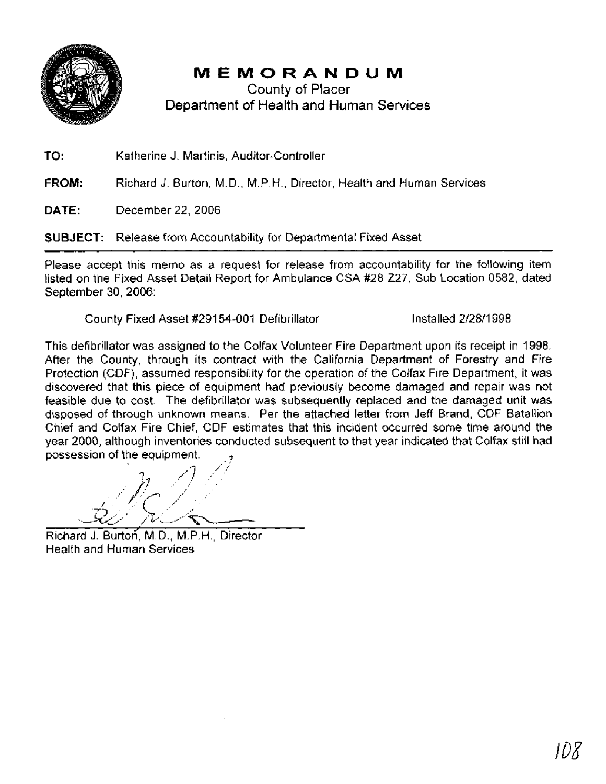

# MEMORANDUM

County of Placer Department of Health and Human Services

**TO:** Katherine **J.** Martinis, Auditor-Controller

FROM: Richard J. Burton, M.D., M.P.H., Director, Health and Human Services

**DATE:** December 22,2006

**SUBJECT:** Release from Accountability for Departmental Fixed Asset

Please accept this memo as a request for release from accountability for the following item listed on the Fixed Asset Detail Report for Ambulance CSA #28 227, Sub Location 0582, dated September 30, 2006:

County Fixed Asset #29154-001 Defibrillator Installed 2/28/1998

This defibrillator was assigned to the Colfax Volunteer Fire Department upon its receipt in 1998. After the County, through its contract with the California Department of Forestry and Fire Protection (CDF), assumed responsibility for the operation of the Colfax Fire Department, it was discovered that this piece of equipment had previously become damaged and repair was not feasible due to cost. The defibrillator was subsequently replaced and the damaged unit was disposed of through unknown means. Per the attached letter from Jeff Brand, CDF Batallion Chief and Colfax Fire Chief, CDF estimates that this incident occurred some time around the year 2000, although inventories conducted subsequent to that year indicated that Colfax still had Chief and Colfax Fire Chief, CDF estil<br>year 2000, although inventories conduc<br>possession of the equipment.

-

Richard J. Burton, M.D., M.P.H., Director Health and Human Services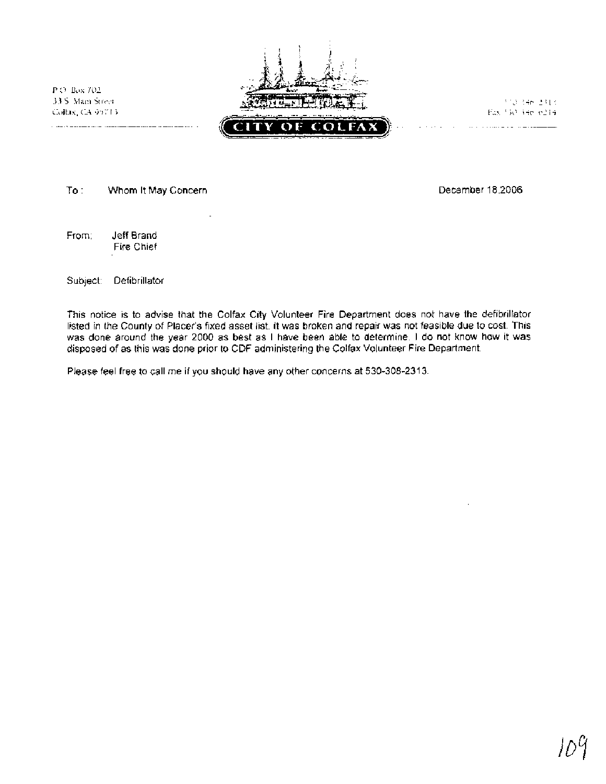P.O. Box 702. 33.5 Main Street Collag, CA 95713



312-346-2313 Fax 533, 346, 6214

To : Whom It May Concern December 18,2006

From: Jeff Brand Fire Chief

Subject: Defibrillator

This notice is to advise that the Colfax City Volunteer Fire Department does not have the defibrillator listed in the County of Placer's fixed asset list. It was broken and repair was not feasible due to cost. This was done around the year 2000 as best as I have been able to determine. I do not know how it was disposed of as this was done prior to CDF administering the Colfax Volunteer Fire Department.

Please feel free to call me if you should have any other concerns at 530-308-2313.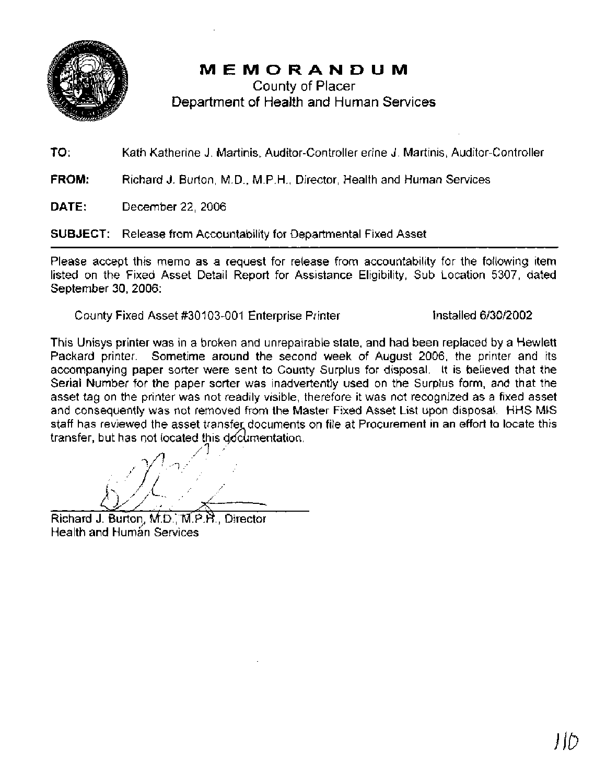

# MEMORANDUM

County of Placer Department of Health and Human **Services** 

**TO:** Kath Katherine J. Martinis, Auditor-Controller erine J. Martinis, Auditor-Controller

**FROM:** Richard J. Burton, M.D., M.P.H., Director, Health and Human Services

**DATE:** December 22,2006

**SUBJECT:** Release from Accountability for Departmental Fixed Asset

Please accept this memo as a request for release from accountability for the following item listed on the Fixed Asset Detail Report for Assistance Eligibility, Sub Location 5307, dated September 30, 2006:

County Fixed Asset #30103-001 Enterprise Printer Installed 6/30/2002

This Unisys printer was in a broken and unrepairable state, and had been replaced by a Hewlett Packard printer. Sometime around the second week of August 2006, the printer and its accompanying paper sorter were sent to County Surplus for disposal. It is believed that the Serial Number for the paper sorter was inadvertently used on the Surplus form, and that the asset tag on the printer was not readily visible, therefore it was not recognized as a fixed asset and consequently was not removed from the Master Fixed Asset List upon disposal. HHS MIS staff has reviewed the asset transfer documents on file at Procurement in an effort to locate this transfer, but has not located this documentation. enoved not<br>transfer do<br>this docume

Richard J. Burton, M.D., M.P.H., Director Health and Human Services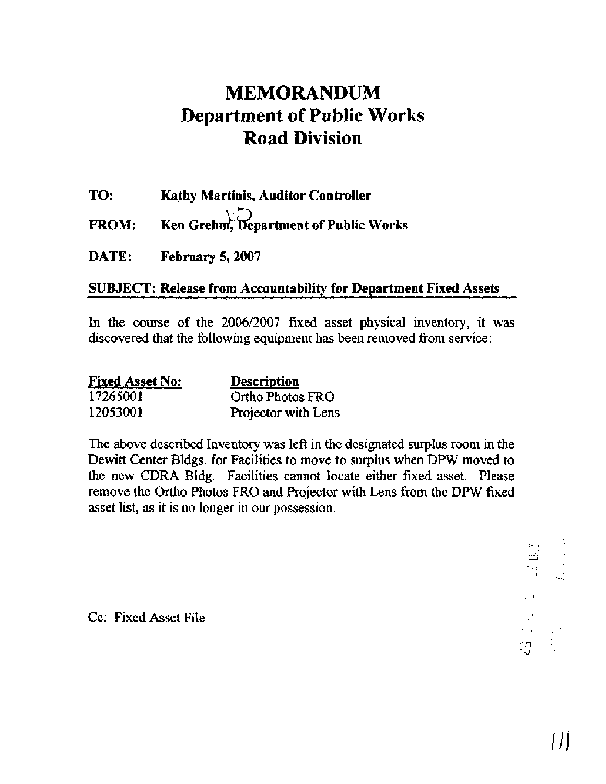# **MEMORANDUM Department of Public Works Road Division**

**TO: Kathy Martinis, Auditor Controller** 

**FROM:** Ken Grehm, Department of Public Works

**DATE: February 5,2007** 

# **SUBJECT: Release from Accountability for Department Fixed Assets**

In the course of the 2006/2007 fixed asset physical inventory, it was discovered that the following equipment has been removed from service:

| <b>Fixed Asset No:</b> | Description         |
|------------------------|---------------------|
| 17265001               | Ortho Photos FRO    |
| 12053001               | Projector with Lens |

The above described Inventory was left in the designated surplus room in the Dewitt Center Bldgs. for Facilities to move to surplus when DPW moved to the new CDRA Bldg. Facilities cannot locate either fixed asset. Please remove the Ortho Photos FRO and Projector with Lens from the DPW fixed asset list, as it is no longer in our possession.

> $\begin{aligned} \mathbf{Z} \mathbf{B} \in \mathbb{R}^{n} \times \mathbb{R}^{n} \times \mathbb{R}^{n} \times \mathbb{R}^{n} \times \mathbb{R}^{n} \times \mathbb{R}^{n} \times \mathbb{R}^{n} \times \mathbb{R}^{n} \times \mathbb{R}^{n} \times \mathbb{R}^{n} \times \mathbb{R}^{n} \times \mathbb{R}^{n} \times \mathbb{R}^{n} \times \mathbb{R}^{n} \times \mathbb{R}^{n} \times \mathbb{R}^{n} \times \mathbb{R}^{n} \times \mathbb{R}^{n} \times \mathbb$ śД.

Cc: Fixed Asset File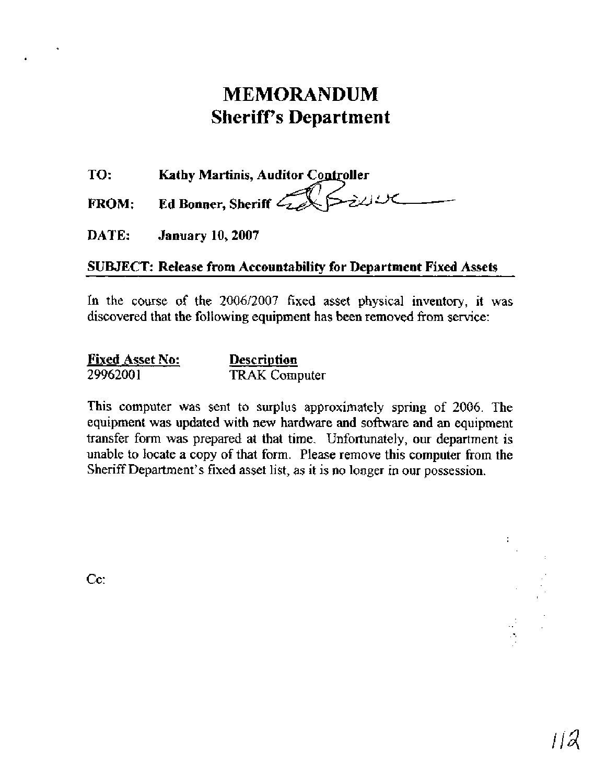# **MEMORANDUM Sheriffs Department**

**TO: Kathy Martinis, Auditor** 

**FROM: Ed Bonner, Sheriff** -

**DATE: January 10,2007** 

# **SUBJECT: Release from Accountability for Department Fixed Assets**

In the course of the 2006/2007 fixed asset physical inventory, it was discovered that the following equipment has been removed from service:

| <b>Fixed Asset No:</b> | <b>Description</b>   |
|------------------------|----------------------|
| 29962001               | <b>TRAK</b> Computer |

This computer was sent to surplus approximately spring of 2006. The equipment was updated with new hardware and software and an equipment transfer form was prepared at that time. Unfortunately, our department is unable to locate a copy of that form. Please remove this computer **from** the Sheriff Department's fixed asset list, as it is no longer in our possession.

Cc:

ia<br>A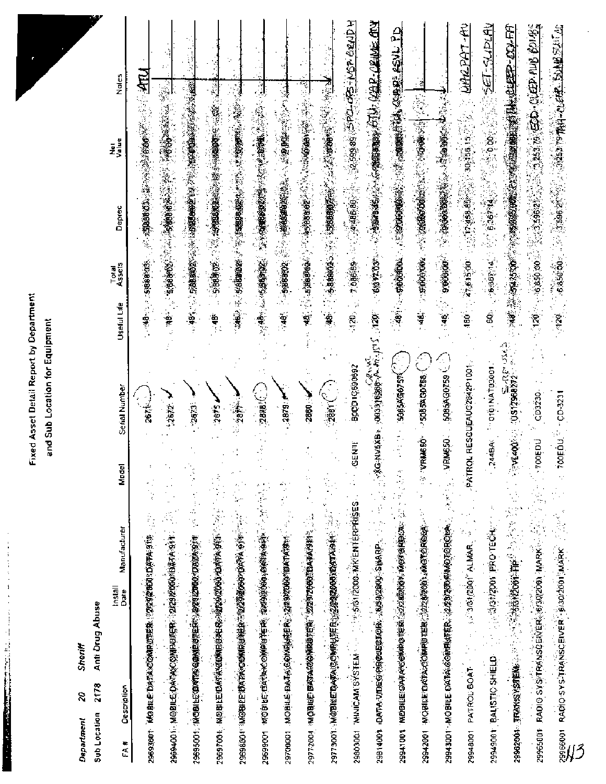# and Sub Location for Equipment

| Fixed Asset Detail Report by Department<br>Sub Location for Equipment<br>end<br>a                                                                                                                                                      |                                                                                                                 |
|----------------------------------------------------------------------------------------------------------------------------------------------------------------------------------------------------------------------------------------|-----------------------------------------------------------------------------------------------------------------|
| Anti Drug Abuse<br>Sheriff<br>2178<br>g<br>Sub Location<br>Department                                                                                                                                                                  |                                                                                                                 |
| Serial Numb<br>Model<br>Manufacturer<br>.<br>Install<br>Date<br>Description<br>$FA$ #                                                                                                                                                  | Noles<br>eu<br>Value<br>Deprec<br>Total<br>Assets<br>Useful Life                                                |
| 267<br>大学家<br>29633001 MOBILE DATANCOMRUTER STROUGHOULD ATH                                                                                                                                                                            |                                                                                                                 |
| $-2672.$<br>29694001 MOBILE CAMASC OM BUILER 2229 MODABAA 911 2                                                                                                                                                                        |                                                                                                                 |
| -2673                                                                                                                                                                                                                                  | · 1994年 1995年 1995年 1998年 1998年 1998年 1999年 1999年 1999年 1999年 1999年 1999年 1999年 1999年 1999年 1999年 1999年 1999年 1 |
| 2675 J<br>29697001 MODELED AT A TOWN BOOK OF THE CONTRACTOR OF CONSIDERATION OF CONSIDERATION                                                                                                                                          | $\frac{6}{7}$                                                                                                   |
| " 我的<br>296968041 TMSBHEETOXTANGGAMRIOTHER TO BE STATED ON STATED TO BE SERVED TO BE SERVED TO BE SERVED TO BE SERVED TO BE SERVED TO BE SERVED TO BE SERVED TO BE SERVED TO BE SERVED TO BE SERVED TO BE SERVED TO BE SERVED TO BE SE |                                                                                                                 |
| 2885<<br>29699001 MOBILE EXTANO OMPUTER SASDISOMO SARAGINE                                                                                                                                                                             |                                                                                                                 |
| $-2879$<br>29700001 MOBILE BATAICOM成绩在我们的的效果的MATAXISm                                                                                                                                                                                  |                                                                                                                 |
| $\sim$ $^{\circ}$<br>$-2800 - 1$<br>29772001 MICBUILEE DATA 2020 MARIER (202072000 MARA AND 12 12 12 13 14 14 15 16 17 18 18 19 19 19 19 19 19 19 1                                                                                    |                                                                                                                 |
| $\frac{1}{2881} \binom{2}{1}$                                                                                                                                                                                                          |                                                                                                                 |
| <b>269069010008</b><br>29803001 MINICAM SYSTEM (1999) 2000 MK ENTERPRISES                                                                                                                                                              | HOOSE CONTRACT ON A STANDARD AND A STANDARD AND AND A STANDARD AND AND AND AND AND AND AND AND AND A            |
|                                                                                                                                                                                                                                        | 칔                                                                                                               |
|                                                                                                                                                                                                                                        | · The Facebook (機能機能) (機能機能) (2006年) 1999年                                                                      |
| ි<br>$-5085%$<br>$\sim$ - $\sqrt{3}$ -velocidation<br>29542001 MOBILE DATAXCOMPUTER 32220001 MOTOROB                                                                                                                                   |                                                                                                                 |
| 公<br><b>29943001-MOBILE DATANGOMRISTER 222222003 MMOTOROPA</b>                                                                                                                                                                         | <b>これは、その場合を持っている場合を確認を得ることになっています。</b>                                                                         |
|                                                                                                                                                                                                                                        | 1991-1992年第一次, 1999年1月, 1999年1月, 1999年, 1999年, 1999年, 1999年, 1999年, 1999年, 1999年, 1999年, 1999年, 1999            |
|                                                                                                                                                                                                                                        |                                                                                                                 |
|                                                                                                                                                                                                                                        |                                                                                                                 |
|                                                                                                                                                                                                                                        |                                                                                                                 |
|                                                                                                                                                                                                                                        |                                                                                                                 |
|                                                                                                                                                                                                                                        | $\sim$ 420 $\sim$                                                                                               |
|                                                                                                                                                                                                                                        |                                                                                                                 |
|                                                                                                                                                                                                                                        |                                                                                                                 |
|                                                                                                                                                                                                                                        |                                                                                                                 |
|                                                                                                                                                                                                                                        |                                                                                                                 |
|                                                                                                                                                                                                                                        |                                                                                                                 |
|                                                                                                                                                                                                                                        |                                                                                                                 |
|                                                                                                                                                                                                                                        |                                                                                                                 |
|                                                                                                                                                                                                                                        |                                                                                                                 |
|                                                                                                                                                                                                                                        |                                                                                                                 |
|                                                                                                                                                                                                                                        |                                                                                                                 |
|                                                                                                                                                                                                                                        |                                                                                                                 |
|                                                                                                                                                                                                                                        |                                                                                                                 |
|                                                                                                                                                                                                                                        |                                                                                                                 |
|                                                                                                                                                                                                                                        |                                                                                                                 |
|                                                                                                                                                                                                                                        |                                                                                                                 |
|                                                                                                                                                                                                                                        |                                                                                                                 |
|                                                                                                                                                                                                                                        |                                                                                                                 |
|                                                                                                                                                                                                                                        |                                                                                                                 |
|                                                                                                                                                                                                                                        |                                                                                                                 |
|                                                                                                                                                                                                                                        |                                                                                                                 |
|                                                                                                                                                                                                                                        |                                                                                                                 |
|                                                                                                                                                                                                                                        |                                                                                                                 |
|                                                                                                                                                                                                                                        |                                                                                                                 |
|                                                                                                                                                                                                                                        |                                                                                                                 |
|                                                                                                                                                                                                                                        |                                                                                                                 |